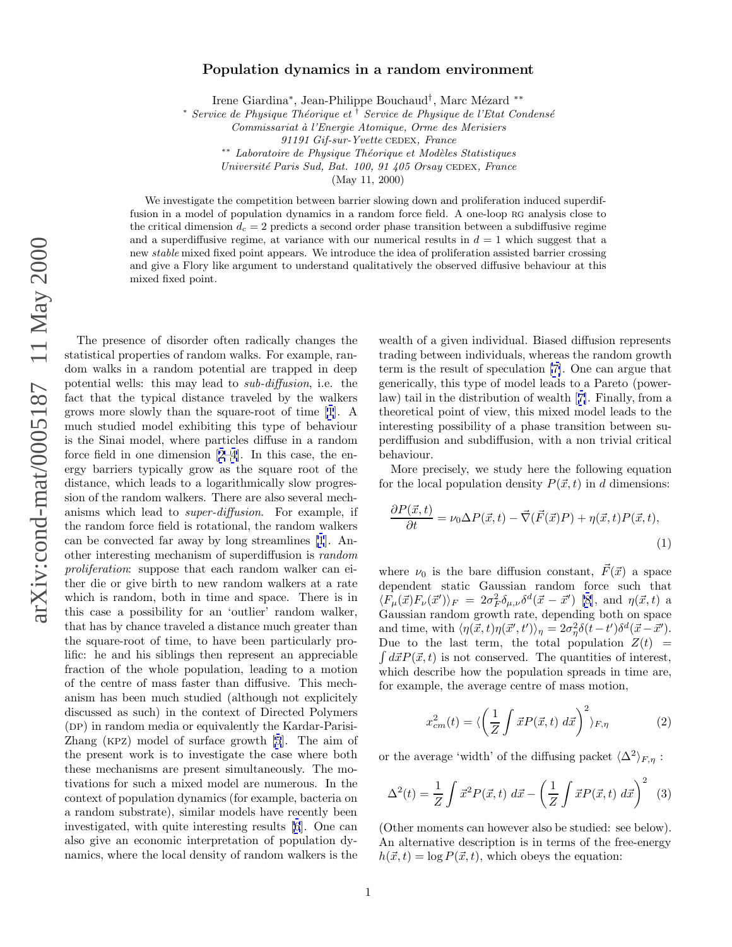## <span id="page-0-0"></span>**Population dynamics in a random environment**

Irene Giardina<sup>∗</sup>, Jean-Philippe Bouchaud<sup>†</sup>, Marc Mézard <sup>∗∗</sup>

\* Service de Physique Théorique et <sup>†</sup> Service de Physique de l'Etat Condensé

Commissariat `a l'Energie Atomique, Orme des Merisiers

91191 Gif-sur-Yvette CEDEX, France

∗∗ Laboratoire de Physique Théorique et Modèles Statistiques

Université Paris Sud, Bat. 100, 91 405 Orsay CEDEX, France

(May 11, 2000)

We investigate the competition between barrier slowing down and proliferation induced superdiffusion in a model of population dynamics in a random force field. A one-loop RG analysis close to the critical dimension  $d_c = 2$  predicts a second order phase transition between a subdiffusive regime and a superdiffusive regime, at variance with our numerical results in  $d = 1$  which suggest that a new stable mixed fixed point appears. We introduce the idea of proliferation assisted barrier crossing and give a Flory like argument to understand qualitatively the observed diffusive behaviour at this mixed fixed point.

The presence of disorder often radically changes the statistical properties of random walks. For example, random walks in a random potential are trapped in deep potential wells: this may lead to sub-diffusion, i.e. the fact that the typical distance traveled by the walkers grows more slowly than the square-root of time [[1](#page-3-0)]. A much studied model exhibiting this type of behaviour is the Sinai model, where particles diffuse in a random force field in one dimension [\[2–4](#page-3-0)]. In this case, the energy barriers typically grow as the square root of the distance, which leads to a logarithmically slow progression of the random walkers. There are also several mechanisms which lead to super-diffusion. For example, if the random force field is rotational, the random walkers can be convected far away by long streamlines [\[1](#page-3-0)]. Another interesting mechanism of superdiffusion is random proliferation: suppose that each random walker can either die or give birth to new random walkers at a rate which is random, both in time and space. There is in this case a possibility for an 'outlier' random walker, that has by chance traveled a distance much greater than the square-root of time, to have been particularly prolific: he and his siblings then represent an appreciable fraction of the whole population, leading to a motion of the centre of mass faster than diffusive. This mechanism has been much studied (although not explicitely discussed as such) in the context of Directed Polymers  $(DP)$  in random media or equivalently the Kardar-Parisi-Zhang (kpz) model of surface growth [\[5](#page-3-0)]. The aim of the present work is to investigate the case where both these mechanisms are present simultaneously. The motivations for such a mixed model are numerous. In the context of population dynamics (for example, bacteria on a random substrate), similar models have recently been investigated, with quite interesting results [\[6](#page-3-0)]. One can also give an economic interpretation of population dynamics, where the local density of random walkers is the

wealth of a given individual. Biased diffusion represents trading between individuals, whereas the random growth term is the result of speculation [\[7\]](#page-3-0). One can argue that generically, this type of model leads to a Pareto (powerlaw) tail in the distribution of wealth [[7\]](#page-3-0). Finally, from a theoretical point of view, this mixed model leads to the interesting possibility of a phase transition between superdiffusion and subdiffusion, with a non trivial critical behaviour.

More precisely, we study here the following equation for the local population density  $P(\vec{x}, t)$  in d dimensions:

$$
\frac{\partial P(\vec{x},t)}{\partial t} = \nu_0 \Delta P(\vec{x},t) - \vec{\nabla}(\vec{F}(\vec{x})P) + \eta(\vec{x},t)P(\vec{x},t),\tag{1}
$$

where  $\nu_0$  is the bare diffusion constant,  $\vec{F}(\vec{x})$  a space dependent static Gaussian random force such that  $\langle F_\mu(\vec{x}) F_\nu(\vec{x}') \rangle_F = 2\sigma_F^2 \delta_{\mu,\nu} \delta^d(\vec{x}-\vec{x}')$  [\[8](#page-3-0)], and  $\eta(\vec{x},t)$  a Gaussian random growth rate, depending both on space and time, with  $\langle \eta(\vec{x},t) \eta(\vec{x}',t') \rangle_{\eta} = 2\sigma_{\eta}^{2} \delta(t-t') \delta^{d}(\vec{x}-\vec{x}').$ Due to the last term, the total population  $Z(t) = \int d\vec{x} P(\vec{x}, t)$  is not conserved. The quantities of interest.  $d\vec{x}P(\vec{x},t)$  is not conserved. The quantities of interest, which describe how the population spreads in time are, for example, the average centre of mass motion,

$$
x_{cm}^2(t) = \langle \left(\frac{1}{Z} \int \vec{x} P(\vec{x}, t) \, d\vec{x}\right)^2 \rangle_{F, \eta} \tag{2}
$$

or the average 'width' of the diffusing packet  $\langle \Delta^2 \rangle_{F,\eta}$ :

$$
\Delta^2(t) = \frac{1}{Z} \int \vec{x}^2 P(\vec{x}, t) \ d\vec{x} - \left(\frac{1}{Z} \int \vec{x} P(\vec{x}, t) \ d\vec{x}\right)^2 \tag{3}
$$

(Other moments can however also be studied: see below). An alternative description is in terms of the free-energy  $h(\vec{x}, t) = \log P(\vec{x}, t)$ , which obeys the equation: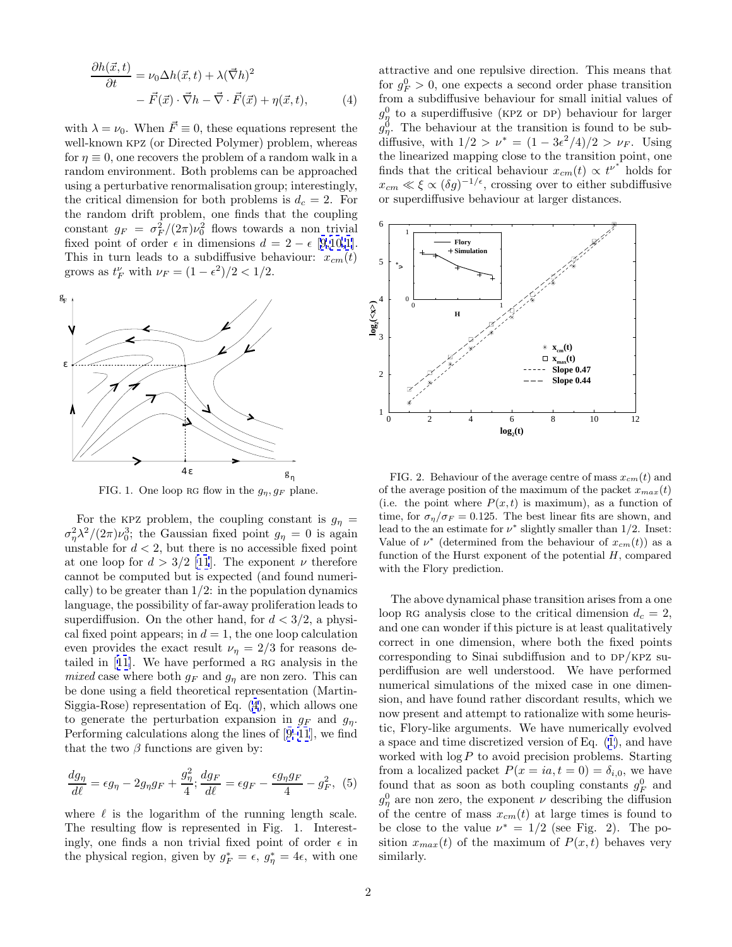$$
\frac{\partial h(\vec{x},t)}{\partial t} = \nu_0 \Delta h(\vec{x},t) + \lambda (\vec{\nabla}h)^2 \n- \vec{F}(\vec{x}) \cdot \vec{\nabla}h - \vec{\nabla} \cdot \vec{F}(\vec{x}) + \eta(\vec{x},t),
$$
\n(4)

with  $\lambda = \nu_0$ . When  $\vec{F} \equiv 0$ , these equations represent the well-known kpz (or Directed Polymer) problem, whereas for  $\eta \equiv 0$ , one recovers the problem of a random walk in a random environment. Both problems can be approached using a perturbative renormalisation group; interestingly, the critical dimension for both problems is  $d_c = 2$ . For the random drift problem, one finds that the coupling constant  $g_F = \frac{\sigma_F^2}{2\pi}\nu_0^2$  flows towards a non trivial fixed point of order  $\epsilon$  in dimensions  $d = 2 - \epsilon$  [[9](#page-3-0),[10](#page-3-0),[1\]](#page-3-0). This in turn leads to a subdiffusive behaviour:  $x_{cm}(t)$ grows as  $t_F^{\nu}$  with  $\nu_F = (1 - \epsilon^2)/2 < 1/2$ .



FIG. 1. One loop RG flow in the  $g_n, g_F$  plane.

For the KPZ problem, the coupling constant is  $g_{\eta} =$  $\sigma_{\eta}^2 \lambda^2/(2\pi)\nu_0^3$ ; the Gaussian fixed point  $g_{\eta} = 0$  is again unstable for  $d < 2$ , but there is no accessible fixed point at one loop for  $d > 3/2$  [\[11](#page-3-0)]. The exponent  $\nu$  therefore cannot be computed but is expected (and found numerically) to be greater than  $1/2$ : in the population dynamics language, the possibility of far-away proliferation leads to superdiffusion. On the other hand, for  $d < 3/2$ , a physical fixed point appears; in  $d = 1$ , the one loop calculation even provides the exact result  $\nu_{\eta} = 2/3$  for reasons detailed in  $[11]$  $[11]$ . We have performed a RG analysis in the mixed case where both  $g_F$  and  $g_\eta$  are non zero. This can be done using a field theoretical representation (Martin-Siggia-Rose) representation of Eq. (4), which allows one to generate the perturbation expansion in  $q_F$  and  $q_n$ . Performing calculations along the lines of [[9–11](#page-3-0)], we find that the two  $\beta$  functions are given by:

$$
\frac{dg_{\eta}}{d\ell} = \epsilon g_{\eta} - 2g_{\eta}g_F + \frac{g_{\eta}^2}{4}; \frac{dg_F}{d\ell} = \epsilon g_F - \frac{\epsilon g_{\eta}g_F}{4} - g_F^2, (5)
$$

where  $\ell$  is the logarithm of the running length scale. The resulting flow is represented in Fig. 1. Interestingly, one finds a non trivial fixed point of order  $\epsilon$  in the physical region, given by  $g_F^* = \epsilon$ ,  $g_{\eta}^* = 4\epsilon$ , with one

attractive and one repulsive direction. This means that for  $g_F^0 > 0$ , one expects a second order phase transition from a subdiffusive behaviour for small initial values of  $g_{\eta}^{0}$  to a superdiffusive (KPZ or DP) behaviour for larger  $g_{\eta}^{0}$ . The behaviour at the transition is found to be subdiffusive, with  $1/2 > \nu^* = (1 - 3\epsilon^2/4)/2 > \nu_F$ . Using the linearized mapping close to the transition point, one finds that the critical behaviour  $x_{cm}(t) \propto t^{\nu^*}$  holds for  $x_{cm} \ll \xi \propto (\delta g)^{-1/\epsilon}$ , crossing over to either subdiffusive or superdiffusive behaviour at larger distances.



FIG. 2. Behaviour of the average centre of mass  $x_{cm}(t)$  and of the average position of the maximum of the packet  $x_{max}(t)$ (i.e. the point where  $P(x,t)$  is maximum), as a function of time, for  $\sigma_n/\sigma_F = 0.125$ . The best linear fits are shown, and lead to the an estimate for  $\nu^*$  slightly smaller than 1/2. Inset: Value of  $\nu^*$  (determined from the behaviour of  $x_{cm}(t)$ ) as a function of the Hurst exponent of the potential  $H$ , compared with the Flory prediction.

The above dynamical phase transition arises from a one loop RG analysis close to the critical dimension  $d_c = 2$ , and one can wonder if this picture is at least qualitatively correct in one dimension, where both the fixed points corresponding to Sinai subdiffusion and to  $DP/KPZ$  superdiffusion are well understood. We have performed numerical simulations of the mixed case in one dimension, and have found rather discordant results, which we now present and attempt to rationalize with some heuristic, Flory-like arguments. We have numerically evolved a space and time discretized version of Eq. ([1\)](#page-0-0), and have worked with  $\log P$  to avoid precision problems. Starting from a localized packet  $P(x = ia, t = 0) = \delta_{i,0}$ , we have found that as soon as both coupling constants  $g_F^0$  and  $g_{\eta}^{0}$  are non zero, the exponent  $\nu$  describing the diffusion of the centre of mass  $x_{cm}(t)$  at large times is found to be close to the value  $\nu^* = 1/2$  (see Fig. 2). The position  $x_{max}(t)$  of the maximum of  $P(x, t)$  behaves very similarly.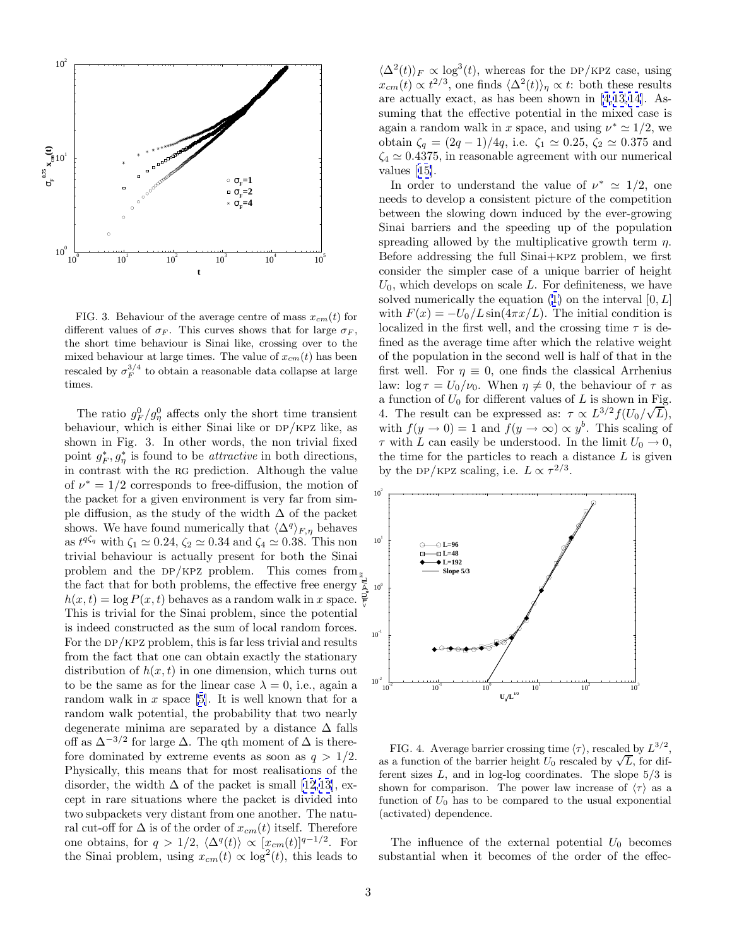

FIG. 3. Behaviour of the average centre of mass  $x_{cm}(t)$  for different values of  $\sigma_F$ . This curves shows that for large  $\sigma_F$ , the short time behaviour is Sinai like, crossing over to the mixed behaviour at large times. The value of  $x_{cm}(t)$  has been rescaled by  $\sigma_F^{3/4}$  to obtain a reasonable data collapse at large times.

The ratio  $g_F^0/g_\eta^0$  affects only the short time transient behaviour, which is either Sinai like or  $DP/KPZ$  like, as shown in Fig. 3. In other words, the non trivial fixed point  $g_F^*, g_\eta^*$  is found to be *attractive* in both directions, in contrast with the rg prediction. Although the value of  $\nu^* = 1/2$  corresponds to free-diffusion, the motion of the packet for a given environment is very far from simple diffusion, as the study of the width  $\Delta$  of the packet shows. We have found numerically that  $\langle \Delta^q \rangle_{F,\eta}$  behaves as  $t^{q\zeta_q}$  with  $\zeta_1 \simeq 0.24$ ,  $\zeta_2 \simeq 0.34$  and  $\zeta_4 \simeq 0.38$ . This non trivial behaviour is actually present for both the Sinai problem and the DP/KPZ problem. This comes from the fact that for both problems, the effective free energy  $\frac{1}{2}$ <br> $h(x,t) = \log P(x,t)$  behaves as a random walk in x space.  $h(x, t) = \log P(x, t)$  behaves as a random walk in x space. This is trivial for the Sinai problem, since the potential is indeed constructed as the sum of local random forces. For the  $DP/KPZ$  problem, this is far less trivial and results from the fact that one can obtain exactly the stationary distribution of  $h(x, t)$  in one dimension, which turns out to be the same as for the linear case  $\lambda = 0$ , i.e., again a random walk in  $x$  space [[5](#page-3-0)]. It is well known that for a random walk potential, the probability that two nearly degenerate minima are separated by a distance  $\Delta$  falls off as  $\Delta^{-3/2}$  for large  $\Delta$ . The qth moment of  $\Delta$  is therefore dominated by extreme events as soon as  $q > 1/2$ . Physically, this means that for most realisations of the disorder, the width  $\Delta$  of the packet is small [\[12](#page-3-0),[13](#page-3-0)], except in rare situations where the packet is divided into two subpackets very distant from one another. The natural cut-off for  $\Delta$  is of the order of  $x_{cm}(t)$  itself. Therefore one obtains, for  $q > 1/2$ ,  $\langle \Delta^q(t) \rangle \propto [x_{cm}(t)]^{q-1/2}$ . For the Sinai problem, using  $x_{cm}(t) \propto \log^2(t)$ , this leads to

 $\langle \Delta^2(t) \rangle_F \propto \log^3(t)$ , whereas for the DP/KPZ case, using  $x_{cm}(t) \propto t^{2/3}$ , one finds  $\langle \Delta^2(t) \rangle_{\eta} \propto t$ : both these results are actually exact, as has been shown in [[4,13,14\]](#page-3-0). Assuming that the effective potential in the mixed case is again a random walk in x space, and using  $\nu^* \simeq 1/2$ , we obtain  $\zeta_q = (2q - 1)/4q$ , i.e.  $\zeta_1 \simeq 0.25$ ,  $\zeta_2 \simeq 0.375$  and  $\zeta_4 \simeq 0.4375$ , in reasonable agreement with our numerical values [[15\]](#page-3-0).

In order to understand the value of  $\nu^* \simeq 1/2$ , one needs to develop a consistent picture of the competition between the slowing down induced by the ever-growing Sinai barriers and the speeding up of the population spreading allowed by the multiplicative growth term  $\eta$ . Before addressing the full Sinai+kpz problem, we first consider the simpler case of a unique barrier of height  $U_0$ , which develops on scale L. For definiteness, we have solved numerically the equation  $(1)$  $(1)$  on the interval  $[0, L]$ with  $F(x) = -U_0/L \sin(4\pi x/L)$ . The initial condition is localized in the first well, and the crossing time  $\tau$  is defined as the average time after which the relative weight of the population in the second well is half of that in the first well. For  $\eta \equiv 0$ , one finds the classical Arrhenius law:  $\log \tau = U_0/\nu_0$ . When  $\eta \neq 0$ , the behaviour of  $\tau$  as a function of  $U_0$  for different values of L is shown in Fig. 4. The result can be expressed as:  $\tau \propto L^{3/2} f(U_0/\sqrt{L}),$ with  $f(y \to 0) = 1$  and  $f(y \to \infty) \propto y^b$ . This scaling of  $\tau$  with L can easily be understood. In the limit  $U_0 \rightarrow 0$ , the time for the particles to reach a distance  $L$  is given by the DP/KPZ scaling, i.e.  $L \propto \tau^{2/3}$ .



FIG. 4. Average barrier crossing time  $\langle \tau \rangle$ , rescaled by  $L^{3/2}$ . as a function of the barrier height  $U_0$  rescaled by  $\sqrt{L}$ , for different sizes  $L$ , and in log-log coordinates. The slope  $5/3$  is shown for comparison. The power law increase of  $\langle \tau \rangle$  as a function of  $U_0$  has to be compared to the usual exponential (activated) dependence.

The influence of the external potential  $U_0$  becomes substantial when it becomes of the order of the effec